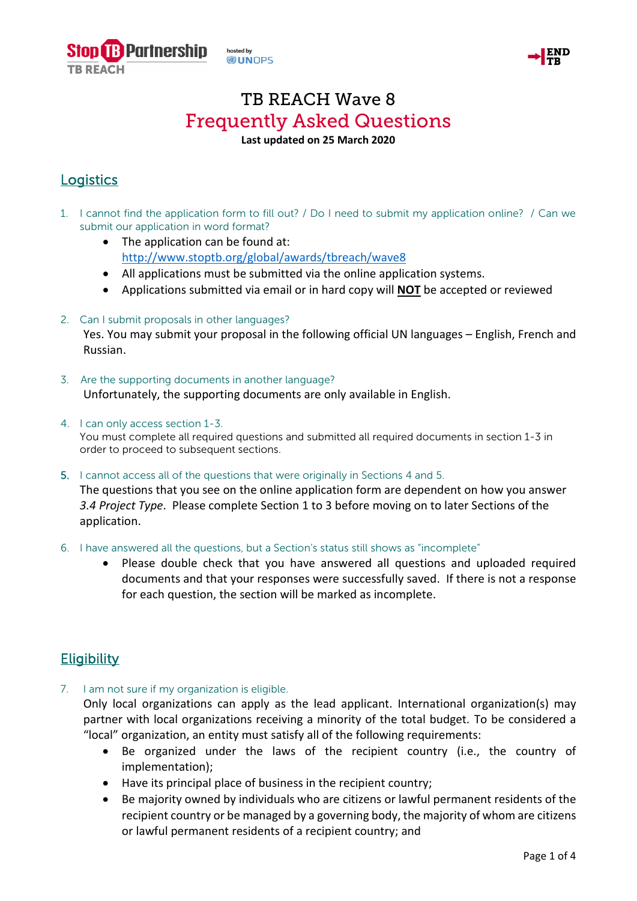



# TB REACH Wave 8 Frequently Asked Questions

### **Last updated on 25 March 2020**

# **Logistics**

- 1. I cannot find the application form to fill out? / Do I need to submit my application online? / Can we submit our application in word format?
	- The application can be found at: <http://www.stoptb.org/global/awards/tbreach/wave8>
	- All applications must be submitted via the online application systems.
	- Applications submitted via email or in hard copy will **NOT** be accepted or reviewed
- 2. Can I submit proposals in other languages?

Yes. You may submit your proposal in the following official UN languages – English, French and Russian.

- 3. Are the supporting documents in another language? Unfortunately, the supporting documents are only available in English.
- 4. I can only access section 1-3. You must complete all required questions and submitted all required documents in section 1-3 in order to proceed to subsequent sections.
- 5. I cannot access all of the questions that were originally in Sections 4 and 5.

The questions that you see on the online application form are dependent on how you answer *3.4 Project Type*. Please complete Section 1 to 3 before moving on to later Sections of the application.

- 6. I have answered all the questions, but a Section's status still shows as "incomplete"
	- Please double check that you have answered all questions and uploaded required documents and that your responses were successfully saved. If there is not a response for each question, the section will be marked as incomplete.

## **Eligibility**

7. I am not sure if my organization is eligible.

Only local organizations can apply as the lead applicant. International organization(s) may partner with local organizations receiving a minority of the total budget. To be considered a "local" organization, an entity must satisfy all of the following requirements:

- Be organized under the laws of the recipient country (i.e., the country of implementation);
- Have its principal place of business in the recipient country;
- Be majority owned by individuals who are citizens or lawful permanent residents of the recipient country or be managed by a governing body, the majority of whom are citizens or lawful permanent residents of a recipient country; and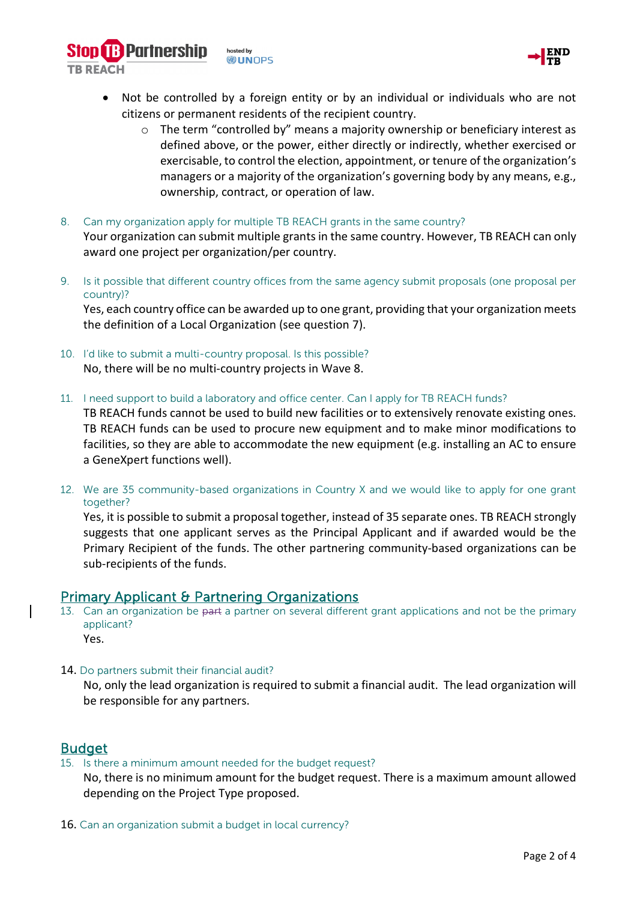

o The term "controlled by" means a majority ownership or beneficiary interest as defined above, or the power, either directly or indirectly, whether exercised or exercisable, to control the election, appointment, or tenure of the organization's managers or a majority of the organization's governing body by any means, e.g., ownership, contract, or operation of law.

8. Can my organization apply for multiple TB REACH grants in the same country? Your organization can submit multiple grantsin the same country. However, TB REACH can only award one project per organization/per country.

9. Is it possible that different country offices from the same agency submit proposals (one proposal per country)?

Yes, each country office can be awarded up to one grant, providing that your organization meets the definition of a Local Organization (see question 7).

10. I'd like to submit a multi-country proposal. Is this possible? No, there will be no multi-country projects in Wave 8.

**B** Partnership

**TR REACH** 

hosted by **WUNDPS** 

11. I need support to build a laboratory and office center. Can I apply for TB REACH funds?

TB REACH funds cannot be used to build new facilities or to extensively renovate existing ones. TB REACH funds can be used to procure new equipment and to make minor modifications to facilities, so they are able to accommodate the new equipment (e.g. installing an AC to ensure a GeneXpert functions well).

12. We are 35 community-based organizations in Country X and we would like to apply for one grant together?

Yes, it is possible to submit a proposal together, instead of 35 separate ones. TB REACH strongly suggests that one applicant serves as the Principal Applicant and if awarded would be the Primary Recipient of the funds. The other partnering community-based organizations can be sub-recipients of the funds.

- **Primary Applicant & Partnering Organizations**<br>13. Can an organization be part a partner on several different grant applications and not be the primary applicant? Yes.
- 14. Do partners submit their financial audit?

No, only the lead organization is required to submit a financial audit. The lead organization will be responsible for any partners.

**Budget**<br>15. Is there a minimum amount needed for the budget request?

No, there is no minimum amount for the budget request. There is a maximum amount allowed depending on the Project Type proposed.

16. Can an organization submit a budget in local currency?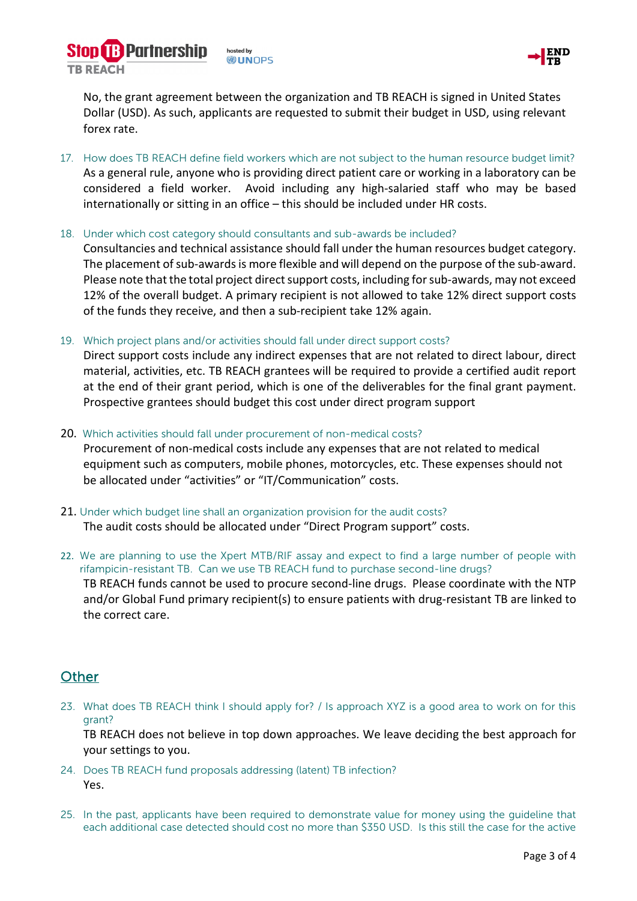**B** Partnership hosted by **WUNDPS TR REACH** 



No, the grant agreement between the organization and TB REACH is signed in United States Dollar (USD). As such, applicants are requested to submit their budget in USD, using relevant forex rate.

- 17. How does TB REACH define field workers which are not subject to the human resource budget limit? As a general rule, anyone who is providing direct patient care or working in a laboratory can be considered a field worker. Avoid including any high-salaried staff who may be based internationally or sitting in an office – this should be included under HR costs.
- 18. Under which cost category should consultants and sub-awards be included?

Consultancies and technical assistance should fall under the human resources budget category. The placement of sub-awards is more flexible and will depend on the purpose of the sub-award. Please note that the total project direct support costs, including for sub-awards, may not exceed 12% of the overall budget. A primary recipient is not allowed to take 12% direct support costs of the funds they receive, and then a sub-recipient take 12% again.

19. Which project plans and/or activities should fall under direct support costs?

Direct support costs include any indirect expenses that are not related to direct labour, direct material, activities, etc. TB REACH grantees will be required to provide a certified audit report at the end of their grant period, which is one of the deliverables for the final grant payment. Prospective grantees should budget this cost under direct program support

- 20. Which activities should fall under procurement of non-medical costs? Procurement of non-medical costs include any expenses that are not related to medical equipment such as computers, mobile phones, motorcycles, etc. These expenses should not be allocated under "activities" or "IT/Communication" costs.
- 21. Under which budget line shall an organization provision for the audit costs? The audit costs should be allocated under "Direct Program support" costs.
- 22. We are planning to use the Xpert MTB/RIF assay and expect to find a large number of people with rifampicin-resistant TB. Can we use TB REACH fund to purchase second-line drugs? TB REACH funds cannot be used to procure second-line drugs. Please coordinate with the NTP and/or Global Fund primary recipient(s) to ensure patients with drug-resistant TB are linked to the correct care.

### **Other**

23. What does TB REACH think I should apply for? / Is approach XYZ is a good area to work on for this grant?

TB REACH does not believe in top down approaches. We leave deciding the best approach for your settings to you.

- 24. Does TB REACH fund proposals addressing (latent) TB infection? Yes.
- 25. In the past, applicants have been required to demonstrate value for money using the guideline that each additional case detected should cost no more than \$350 USD. Is this still the case for the active